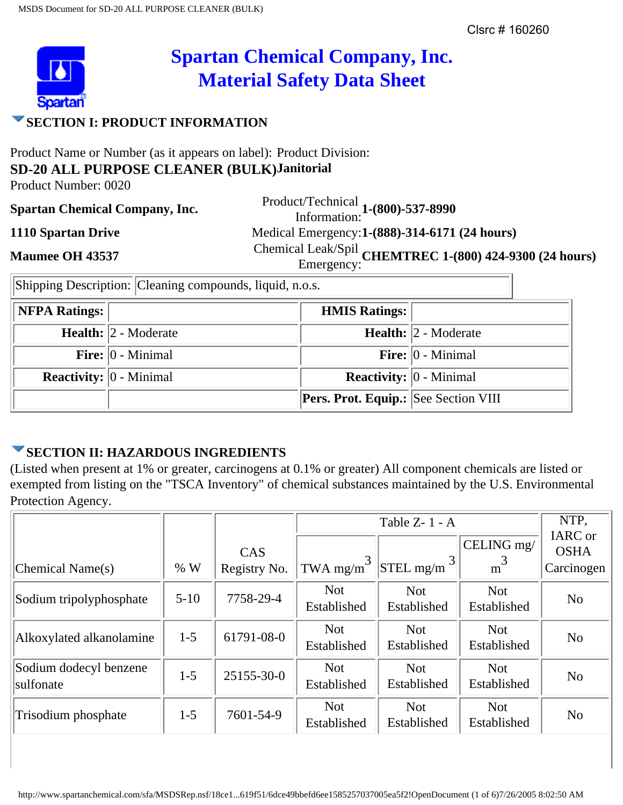

# **Spartan Chemical Company, Inc. Material Safety Data Sheet**

### **SECTION I: PRODUCT INFORMATION**

Product Name or Number (as it appears on label): Product Division: **SD-20 ALL PURPOSE CLEANER (BULK) Janitorial**

Product Number: 0020

**Spartan Chemical Company, Inc.** Information:**1-(800)-537-8990 1110 Spartan Drive** Medical Emergency:**1-(888)-314-6171 (24 hours) Maumee OH 43537** Chemical Leak/Spil **CHEMTREC 1-(800) 424-9300 (24 hours)**<br>Emergency:

Shipping Description: Cleaning compounds, liquid, n.o.s.

| <b>NFPA Ratings:</b> |                                                         | <b>HMIS Ratings:</b>                        |                                        |
|----------------------|---------------------------------------------------------|---------------------------------------------|----------------------------------------|
|                      | <b>Health:</b> $\ 2 - \text{Modern}$                    |                                             | <b>Health:</b> $ 2 - \text{Modern}$    |
|                      | Fire: $ 0 -$ Minimal                                    |                                             | <b>Fire:</b> $\vert 0$ - Minimal       |
|                      | <b>Reactivity:</b> $\vert 0 \cdot \text{Minimal} \vert$ |                                             | <b>Reactivity:</b> $\vert 0$ - Minimal |
|                      |                                                         | <b>Pers. Prot. Equip.:</b> See Section VIII |                                        |

# **SECTION II: HAZARDOUS INGREDIENTS**

(Listed when present at 1% or greater, carcinogens at 0.1% or greater) All component chemicals are listed or exempted from listing on the "TSCA Inventory" of chemical substances maintained by the U.S. Environmental Protection Agency.

|                                     |         |              | Table $Z - 1 - A$         |                           | NTP,                      |                        |
|-------------------------------------|---------|--------------|---------------------------|---------------------------|---------------------------|------------------------|
|                                     |         | CAS          |                           |                           | CELING mg/                | IARC or<br><b>OSHA</b> |
| Chemical Name(s)                    | %W      | Registry No. | TWA mg/m                  | STEL mg/m                 | m                         | Carcinogen             |
| Sodium tripolyphosphate             | $5-10$  | 7758-29-4    | <b>Not</b><br>Established | <b>Not</b><br>Established | <b>Not</b><br>Established | N <sub>o</sub>         |
| Alkoxylated alkanolamine            | $1 - 5$ | 61791-08-0   | <b>Not</b><br>Established | <b>Not</b><br>Established | <b>Not</b><br>Established | N <sub>o</sub>         |
| Sodium dodecyl benzene<br>sulfonate | $1 - 5$ | 25155-30-0   | <b>Not</b><br>Established | <b>Not</b><br>Established | <b>Not</b><br>Established | N <sub>o</sub>         |
| Trisodium phosphate                 | $1-5$   | 7601-54-9    | <b>Not</b><br>Established | <b>Not</b><br>Established | <b>Not</b><br>Established | N <sub>o</sub>         |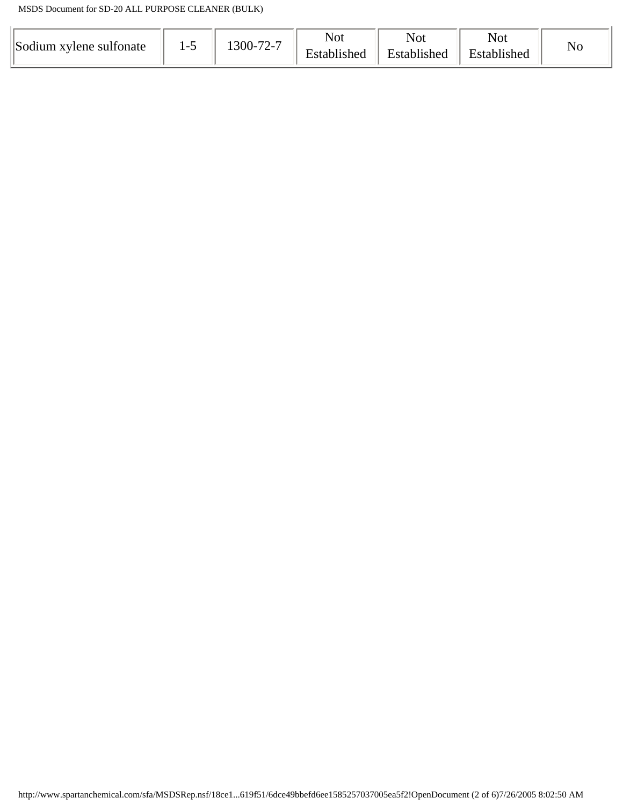| Sodium xylene sulfonate | `− | $.300 -$ | Not<br>Established | Not<br>Established | Not<br>Established |  |
|-------------------------|----|----------|--------------------|--------------------|--------------------|--|
|                         |    |          |                    |                    |                    |  |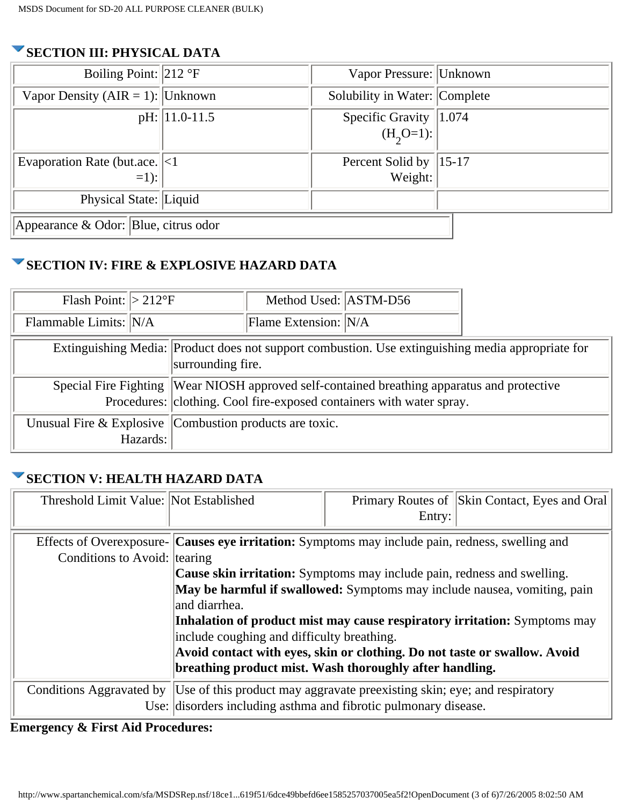# **SECTION III: PHYSICAL DATA**

| Boiling Point: $ 212 \text{ }^{\circ}F$                    |                 | Vapor Pressure: Unknown       |  |
|------------------------------------------------------------|-----------------|-------------------------------|--|
| Vapor Density ( $AIR = 1$ ): Unknown                       |                 | Solubility in Water: Complete |  |
|                                                            | $pH:$ 11.0-11.5 | Specific Gravity $ 1.074$     |  |
|                                                            |                 | $(H_2O=1):$                   |  |
| Evaporation Rate (but.ace. $\vert \langle 1 \vert \rangle$ |                 | Percent Solid by $ 15-17 $    |  |
| $=1$ :                                                     |                 | Weight:                       |  |
| Physical State: Liquid                                     |                 |                               |  |
| Appearance & Odor: Blue, citrus odor                       |                 |                               |  |

# **SECTION IV: FIRE & EXPLOSIVE HAZARD DATA**

| Flash Point: $ >212^{\circ}F$                                                                                          |                                                            | Method Used: ASTM-D56 |                                                                      |  |
|------------------------------------------------------------------------------------------------------------------------|------------------------------------------------------------|-----------------------|----------------------------------------------------------------------|--|
| Flammable Limits: N/A                                                                                                  |                                                            | Flame Extension: N/A  |                                                                      |  |
| Extinguishing Media: Product does not support combustion. Use extinguishing media appropriate for<br>surrounding fire. |                                                            |                       |                                                                      |  |
| Special Fire Fighting   Wear NIOSH approved self-contained breathing apparatus and protective                          |                                                            |                       | Procedures: clothing. Cool fire-exposed containers with water spray. |  |
| Hazards:                                                                                                               | Unusual Fire $\&$ Explosive Combustion products are toxic. |                       |                                                                      |  |

## **SECTION V: HEALTH HAZARD DATA**

| Threshold Limit Value: Not Established |                                                                           | Primary Routes of   Skin Contact, Eyes and Oral                                                    |  |  |  |  |
|----------------------------------------|---------------------------------------------------------------------------|----------------------------------------------------------------------------------------------------|--|--|--|--|
|                                        |                                                                           | Entry:                                                                                             |  |  |  |  |
|                                        |                                                                           | Effects of Overexposure-Causes eye irritation: Symptoms may include pain, redness, swelling and    |  |  |  |  |
| Conditions to Avoid: tearing           |                                                                           |                                                                                                    |  |  |  |  |
|                                        |                                                                           | <b>Cause skin irritation:</b> Symptoms may include pain, redness and swelling.                     |  |  |  |  |
|                                        | May be harmful if swallowed: Symptoms may include nausea, vomiting, pain  |                                                                                                    |  |  |  |  |
|                                        | and diarrhea.                                                             |                                                                                                    |  |  |  |  |
|                                        | Inhalation of product mist may cause respiratory irritation: Symptoms may |                                                                                                    |  |  |  |  |
|                                        | include coughing and difficulty breathing.                                |                                                                                                    |  |  |  |  |
|                                        | Avoid contact with eyes, skin or clothing. Do not taste or swallow. Avoid |                                                                                                    |  |  |  |  |
|                                        | breathing product mist. Wash thoroughly after handling.                   |                                                                                                    |  |  |  |  |
|                                        |                                                                           | Conditions Aggravated by  Use of this product may aggravate preexisting skin; eye; and respiratory |  |  |  |  |
|                                        |                                                                           | Use: disorders including asthma and fibrotic pulmonary disease.                                    |  |  |  |  |

#### **Emergency & First Aid Procedures:**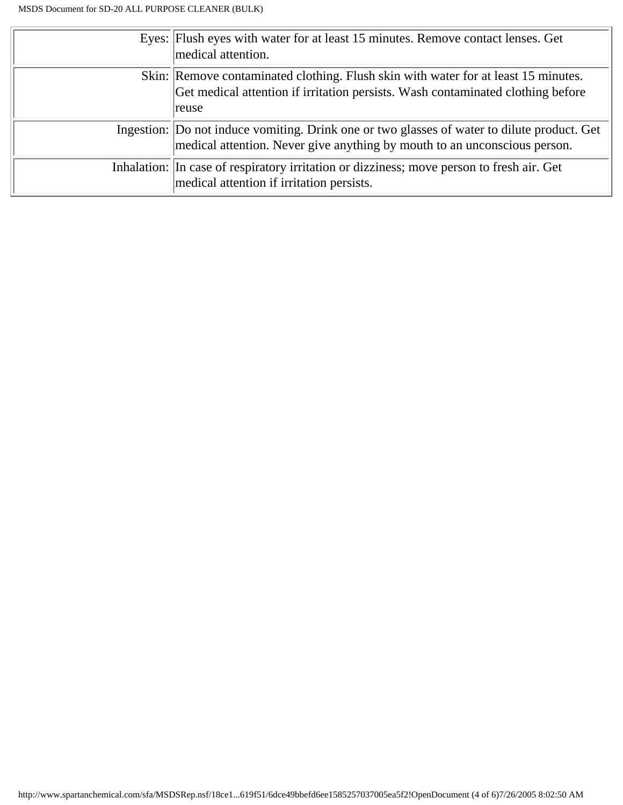| Eyes: Flush eyes with water for at least 15 minutes. Remove contact lenses. Get<br>medical attention.                                                                          |
|--------------------------------------------------------------------------------------------------------------------------------------------------------------------------------|
| Skin: Remove contaminated clothing. Flush skin with water for at least 15 minutes.<br>Get medical attention if irritation persists. Wash contaminated clothing before<br>reuse |
| Ingestion: Do not induce vomiting. Drink one or two glasses of water to dilute product. Get<br>medical attention. Never give anything by mouth to an unconscious person.       |
| Inhalation: In case of respiratory irritation or dizziness; move person to fresh air. Get<br>medical attention if irritation persists.                                         |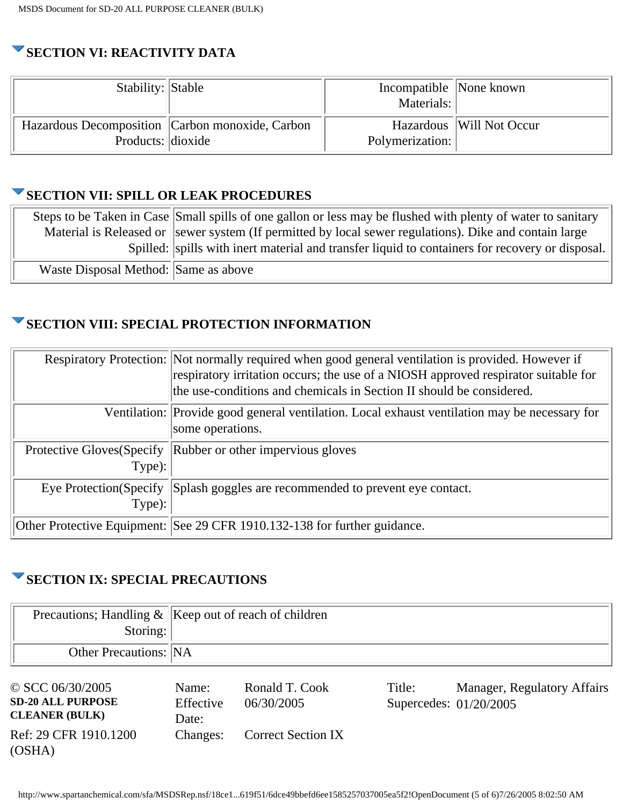# **SECTION VI: REACTIVITY DATA**

| Stability: Stable                                                    | Incompatible None known<br>Materials: |                          |
|----------------------------------------------------------------------|---------------------------------------|--------------------------|
| Hazardous Decomposition Carbon monoxide, Carbon<br>Products: dioxide | Polymerization:                       | Hazardous Will Not Occur |

#### **SECTION VII: SPILL OR LEAK PROCEDURES**

|                                      | Steps to be Taken in Case Small spills of one gallon or less may be flushed with plenty of water to sanitary |
|--------------------------------------|--------------------------------------------------------------------------------------------------------------|
|                                      | Material is Released or Sewer system (If permitted by local sewer regulations). Dike and contain large       |
|                                      | Spilled: spills with inert material and transfer liquid to containers for recovery or disposal.              |
| Waste Disposal Method: Same as above |                                                                                                              |

## **SECTION VIII: SPECIAL PROTECTION INFORMATION**

|          | Respiratory Protection: Not normally required when good general ventilation is provided. However if<br>respiratory irritation occurs; the use of a NIOSH approved respirator suitable for<br>the use-conditions and chemicals in Section II should be considered. |
|----------|-------------------------------------------------------------------------------------------------------------------------------------------------------------------------------------------------------------------------------------------------------------------|
|          | Ventilation: Provide good general ventilation. Local exhaust ventilation may be necessary for<br>some operations.                                                                                                                                                 |
| $Type$ : | Protective Gloves (Specify   Rubber or other impervious gloves                                                                                                                                                                                                    |
| Type):   | Eye Protection(Specify Splash goggles are recommended to prevent eye contact.                                                                                                                                                                                     |
|          | Other Protective Equipment: See 29 CFR 1910.132-138 for further guidance.                                                                                                                                                                                         |

#### **SECTION IX: SPECIAL PRECAUTIONS**

| Storing:                     | Precautions; Handling $\&\ $ Keep out of reach of children |
|------------------------------|------------------------------------------------------------|
| <b>Other Precautions:</b> NA |                                                            |

| $\odot$ SCC 06/30/2005<br><b>SD-20 ALL PURPOSE</b><br><b>CLEANER (BULK)</b> | Name:<br>Effective<br>Date: | Ronald T. Cook<br>06/30/2005 | Title:<br>Supercedes: $01/20/2005$ | Manager, Regulatory Affairs |
|-----------------------------------------------------------------------------|-----------------------------|------------------------------|------------------------------------|-----------------------------|
| Ref: 29 CFR 1910.1200<br>(OSHA)                                             | Changes:                    | <b>Correct Section IX</b>    |                                    |                             |